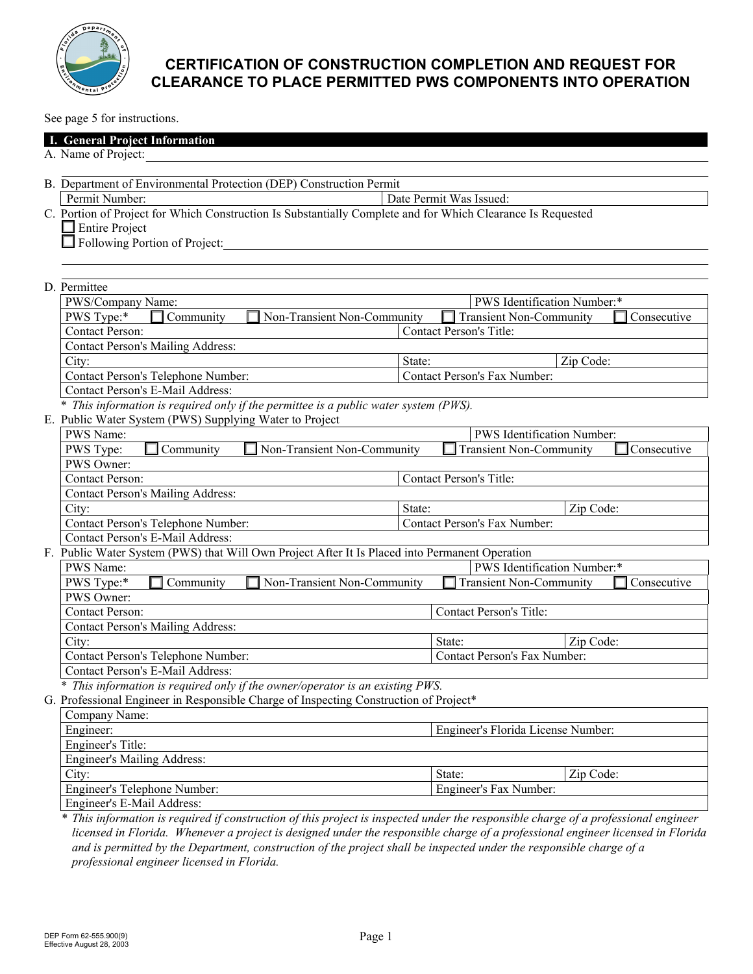

See page 5 for instructions.

| $\overline{OC}$ page $\overline{J}$ for modulations.                                  |                                                                                                                                                                    |        |                                               |             |  |
|---------------------------------------------------------------------------------------|--------------------------------------------------------------------------------------------------------------------------------------------------------------------|--------|-----------------------------------------------|-------------|--|
|                                                                                       | I. General Project Information                                                                                                                                     |        |                                               |             |  |
|                                                                                       | A. Name of Project:                                                                                                                                                |        |                                               |             |  |
|                                                                                       |                                                                                                                                                                    |        |                                               |             |  |
|                                                                                       | B. Department of Environmental Protection (DEP) Construction Permit                                                                                                |        |                                               |             |  |
|                                                                                       | Permit Number:<br>Date Permit Was Issued:                                                                                                                          |        |                                               |             |  |
|                                                                                       | C. Portion of Project for Which Construction Is Substantially Complete and for Which Clearance Is Requested                                                        |        |                                               |             |  |
|                                                                                       | $\Box$ Entire Project                                                                                                                                              |        |                                               |             |  |
|                                                                                       | Following Portion of Project:                                                                                                                                      |        |                                               |             |  |
|                                                                                       |                                                                                                                                                                    |        |                                               |             |  |
|                                                                                       |                                                                                                                                                                    |        |                                               |             |  |
|                                                                                       | D. Permittee                                                                                                                                                       |        |                                               |             |  |
|                                                                                       | PWS Identification Number:*<br>PWS/Company Name:                                                                                                                   |        |                                               |             |  |
|                                                                                       | PWS Type:*<br>Community<br>Non-Transient Non-Community                                                                                                             |        | $\Box$ Transient Non-Community<br>Consecutive |             |  |
|                                                                                       | <b>Contact Person:</b><br><b>Contact Person's Title:</b>                                                                                                           |        |                                               |             |  |
|                                                                                       | <b>Contact Person's Mailing Address:</b>                                                                                                                           |        |                                               |             |  |
|                                                                                       | City:                                                                                                                                                              | State: |                                               | Zip Code:   |  |
|                                                                                       | Contact Person's Telephone Number:<br>Contact Person's Fax Number:                                                                                                 |        |                                               |             |  |
|                                                                                       | Contact Person's E-Mail Address:                                                                                                                                   |        |                                               |             |  |
|                                                                                       | * This information is required only if the permittee is a public water system (PWS).                                                                               |        |                                               |             |  |
|                                                                                       | E. Public Water System (PWS) Supplying Water to Project<br>PWS Name:<br>PWS Identification Number:                                                                 |        |                                               |             |  |
|                                                                                       | PWS Type:<br>Community<br>Non-Transient Non-Community<br><b>Transient Non-Community</b><br>Consecutive                                                             |        |                                               |             |  |
|                                                                                       | PWS Owner:                                                                                                                                                         |        |                                               |             |  |
|                                                                                       | <b>Contact Person:</b>                                                                                                                                             |        | Contact Person's Title:                       |             |  |
|                                                                                       | <b>Contact Person's Mailing Address:</b>                                                                                                                           |        |                                               |             |  |
|                                                                                       | City:                                                                                                                                                              | State: |                                               | Zip Code:   |  |
|                                                                                       | Contact Person's Telephone Number:                                                                                                                                 |        | Contact Person's Fax Number:                  |             |  |
| Contact Person's E-Mail Address:                                                      |                                                                                                                                                                    |        |                                               |             |  |
|                                                                                       | F. Public Water System (PWS) that Will Own Project After It Is Placed into Permanent Operation<br>PWS Identification Number:*<br>PWS Name:                         |        |                                               |             |  |
|                                                                                       |                                                                                                                                                                    |        |                                               |             |  |
|                                                                                       | PWS Type:*<br>$\Box$ Community<br>Non-Transient Non-Community<br><b>Transient Non-Community</b><br>PWS Owner:<br><b>Contact Person:</b><br>Contact Person's Title: |        |                                               | Consecutive |  |
|                                                                                       |                                                                                                                                                                    |        |                                               |             |  |
|                                                                                       |                                                                                                                                                                    |        |                                               |             |  |
|                                                                                       | <b>Contact Person's Mailing Address:</b>                                                                                                                           |        |                                               |             |  |
|                                                                                       | City:                                                                                                                                                              |        | State:                                        | Zip Code:   |  |
|                                                                                       | Contact Person's Telephone Number:                                                                                                                                 |        | Contact Person's Fax Number:                  |             |  |
|                                                                                       | Contact Person's E-Mail Address:                                                                                                                                   |        |                                               |             |  |
|                                                                                       | * This information is required only if the owner/operator is an existing PWS.                                                                                      |        |                                               |             |  |
| G. Professional Engineer in Responsible Charge of Inspecting Construction of Project* |                                                                                                                                                                    |        |                                               |             |  |
|                                                                                       | Company Name:                                                                                                                                                      |        |                                               |             |  |
|                                                                                       | Engineer:<br>Engineer's Florida License Number:                                                                                                                    |        |                                               |             |  |
|                                                                                       | Engineer's Title:                                                                                                                                                  |        |                                               |             |  |
|                                                                                       | <b>Engineer's Mailing Address:</b>                                                                                                                                 |        |                                               |             |  |
|                                                                                       | City:                                                                                                                                                              |        | State:                                        | Zip Code:   |  |
|                                                                                       | Engineer's Fax Number:<br>Engineer's Telephone Number:                                                                                                             |        |                                               |             |  |
|                                                                                       | Engineer's E-Mail Address:                                                                                                                                         |        |                                               |             |  |

*\* This information is required if construction of this project is inspected under the responsible charge of a professional engineer licensed in Florida. Whenever a project is designed under the responsible charge of a professional engineer licensed in Florida and is permitted by the Department, construction of the project shall be inspected under the responsible charge of a professional engineer licensed in Florida.*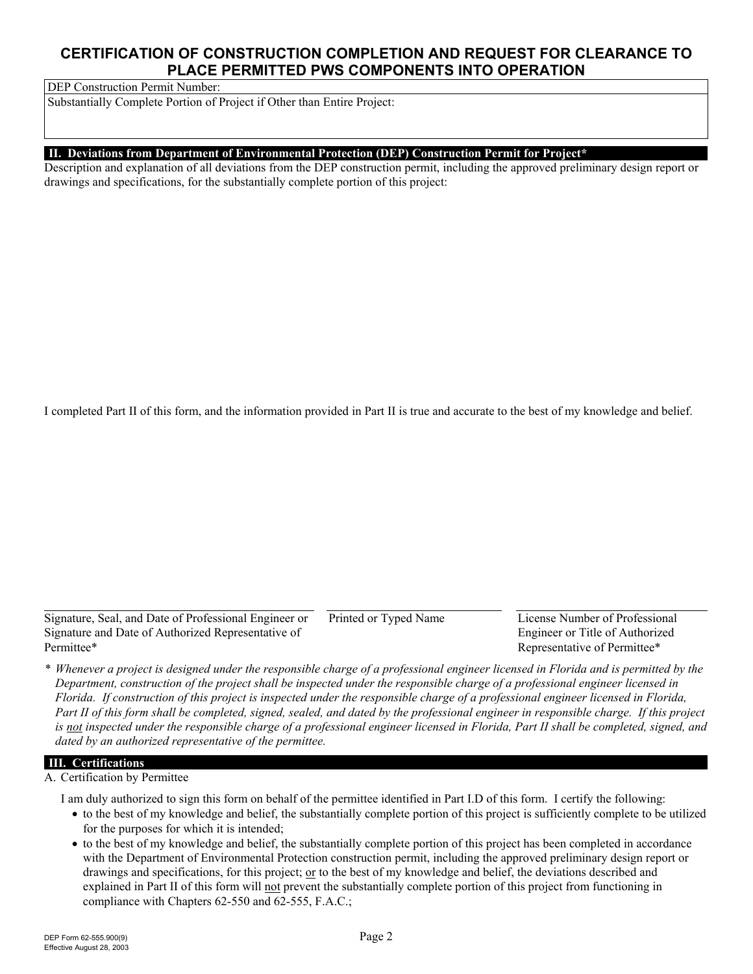DEP Construction Permit Number:

Substantially Complete Portion of Project if Other than Entire Project:

#### **II. Deviations from Department of Environmental Protection (DEP) Construction Permit for Project\***

 drawings and specifications, for the substantially complete portion of this project: Description and explanation of all deviations from the DEP construction permit, including the approved preliminary design report or

I completed Part II of this form, and the information provided in Part II is true and accurate to the best of my knowledge and belief.

Signature, Seal, and Date of Professional Engineer or Printed or Typed Name License Number of Professional Signature and Date of Authorized Representative of Engineer or Title of Authorized Permittee\* Representative of Permittee\*

*\* Whenever a project is designed under the responsible charge of a professional engineer licensed in Florida and is permitted by the Department, construction of the project shall be inspected under the responsible charge of a professional engineer licensed in Florida. If construction of this project is inspected under the responsible charge of a professional engineer licensed in Florida, Part II of this form shall be completed, signed, sealed, and dated by the professional engineer in responsible charge. If this project is not inspected under the responsible charge of a professional engineer licensed in Florida, Part II shall be completed, signed, and dated by an authorized representative of the permittee.*

### **III. Certifications**

A. Certification by Permittee

I am duly authorized to sign this form on behalf of the permittee identified in Part I.D of this form. I certify the following:

- to the best of my knowledge and belief, the substantially complete portion of this project is sufficiently complete to be utilized for the purposes for which it is intended;
- to the best of my knowledge and belief, the substantially complete portion of this project has been completed in accordance with the Department of Environmental Protection construction permit, including the approved preliminary design report or drawings and specifications, for this project; or to the best of my knowledge and belief, the deviations described and explained in Part II of this form will not prevent the substantially complete portion of this project from functioning in compliance with Chapters 62-550 and 62-555, F.A.C.;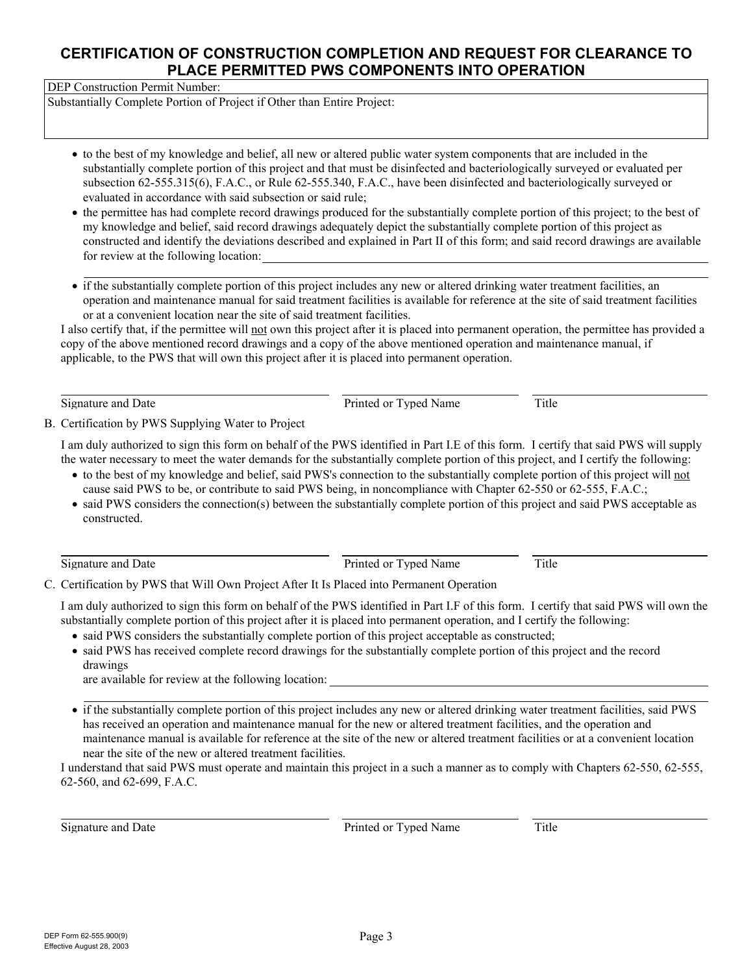DEP Construction Permit Number:

Substantially Complete Portion of Project if Other than Entire Project:

- to the best of my knowledge and belief, all new or altered public water system components that are included in the substantially complete portion of this project and that must be disinfected and bacteriologically surveyed or evaluated per subsection 62-555.315(6), F.A.C., or Rule 62-555.340, F.A.C., have been disinfected and bacteriologically surveyed or evaluated in accordance with said subsection or said rule;
- for review at the following location: • the permittee has had complete record drawings produced for the substantially complete portion of this project; to the best of my knowledge and belief, said record drawings adequately depict the substantially complete portion of this project as constructed and identify the deviations described and explained in Part II of this form; and said record drawings are available
- if the substantially complete portion of this project includes any new or altered drinking water treatment facilities, an operation and maintenance manual for said treatment facilities is available for reference at the site of said treatment facilities or at a convenient location near the site of said treatment facilities.

I also certify that, if the permittee will not own this project after it is placed into permanent operation, the permittee has provided a copy of the above mentioned record drawings and a copy of the above mentioned operation and maintenance manual, if applicable, to the PWS that will own this project after it is placed into permanent operation.

Signature and Date **Princed of Typed Name** Title

B. Certification by PWS Supplying Water to Project

I am duly authorized to sign this form on behalf of the PWS identified in Part I.E of this form. I certify that said PWS will supply the water necessary to meet the water demands for the substantially complete portion of this project, and I certify the following:

- to the best of my knowledge and belief, said PWS's connection to the substantially complete portion of this project will not cause said PWS to be, or contribute to said PWS being, in noncompliance with Chapter 62-550 or 62-555, F.A.C.;
- said PWS considers the connection(s) between the substantially complete portion of this project and said PWS acceptable as constructed.

Signature and Date **Printed or Typed Name** Title

C. Certification by PWS that Will Own Project After It Is Placed into Permanent Operation

I am duly authorized to sign this form on behalf of the PWS identified in Part I.F of this form. I certify that said PWS will own the substantially complete portion of this project after it is placed into permanent operation, and I certify the following:

- said PWS considers the substantially complete portion of this project acceptable as constructed;
- said PWS has received complete record drawings for the substantially complete portion of this project and the record drawings

are available for review at the following location:

• if the substantially complete portion of this project includes any new or altered drinking water treatment facilities, said PWS has received an operation and maintenance manual for the new or altered treatment facilities, and the operation and maintenance manual is available for reference at the site of the new or altered treatment facilities or at a convenient location near the site of the new or altered treatment facilities.

I understand that said PWS must operate and maintain this project in a such a manner as to comply with Chapters 62-550, 62-555, 62-560, and 62-699, F.A.C.

Signature and Date **Printed or Typed Name** Title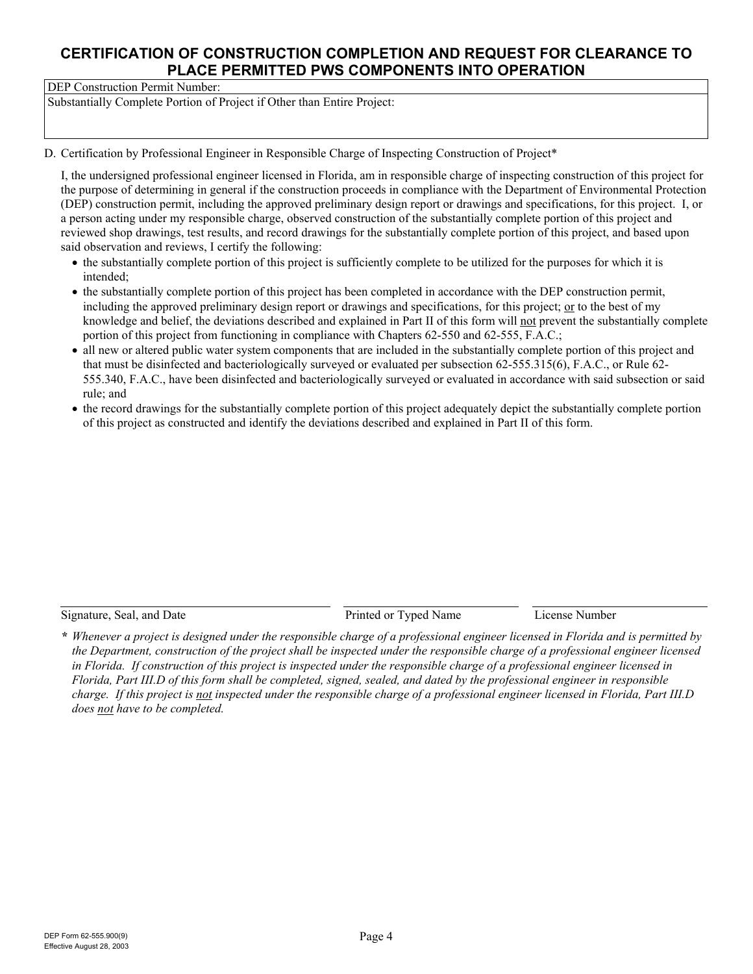DEP Construction Permit Number:

Substantially Complete Portion of Project if Other than Entire Project:

#### D. Certification by Professional Engineer in Responsible Charge of Inspecting Construction of Project\*

I, the undersigned professional engineer licensed in Florida, am in responsible charge of inspecting construction of this project for the purpose of determining in general if the construction proceeds in compliance with the Department of Environmental Protection (DEP) construction permit, including the approved preliminary design report or drawings and specifications, for this project. I, or a person acting under my responsible charge, observed construction of the substantially complete portion of this project and reviewed shop drawings, test results, and record drawings for the substantially complete portion of this project, and based upon said observation and reviews, I certify the following:

- the substantially complete portion of this project is sufficiently complete to be utilized for the purposes for which it is intended;
- the substantially complete portion of this project has been completed in accordance with the DEP construction permit, including the approved preliminary design report or drawings and specifications, for this project; or to the best of my knowledge and belief, the deviations described and explained in Part II of this form will not prevent the substantially complete portion of this project from functioning in compliance with Chapters 62-550 and 62-555, F.A.C.;
- all new or altered public water system components that are included in the substantially complete portion of this project and that must be disinfected and bacteriologically surveyed or evaluated per subsection 62-555.315(6), F.A.C., or Rule 62- 555.340, F.A.C., have been disinfected and bacteriologically surveyed or evaluated in accordance with said subsection or said rule; and
- the record drawings for the substantially complete portion of this project adequately depict the substantially complete portion of this project as constructed and identify the deviations described and explained in Part II of this form.

Signature, Seal, and Date **Printed or Typed Name** License Number

*\* Whenever a project is designed under the responsible charge of a professional engineer licensed in Florida and is permitted by the Department, construction of the project shall be inspected under the responsible charge of a professional engineer licensed in Florida. If construction of this project is inspected under the responsible charge of a professional engineer licensed in Florida, Part III.D of this form shall be completed, signed, sealed, and dated by the professional engineer in responsible charge. If this project is not inspected under the responsible charge of a professional engineer licensed in Florida, Part III.D does not have to be completed.*